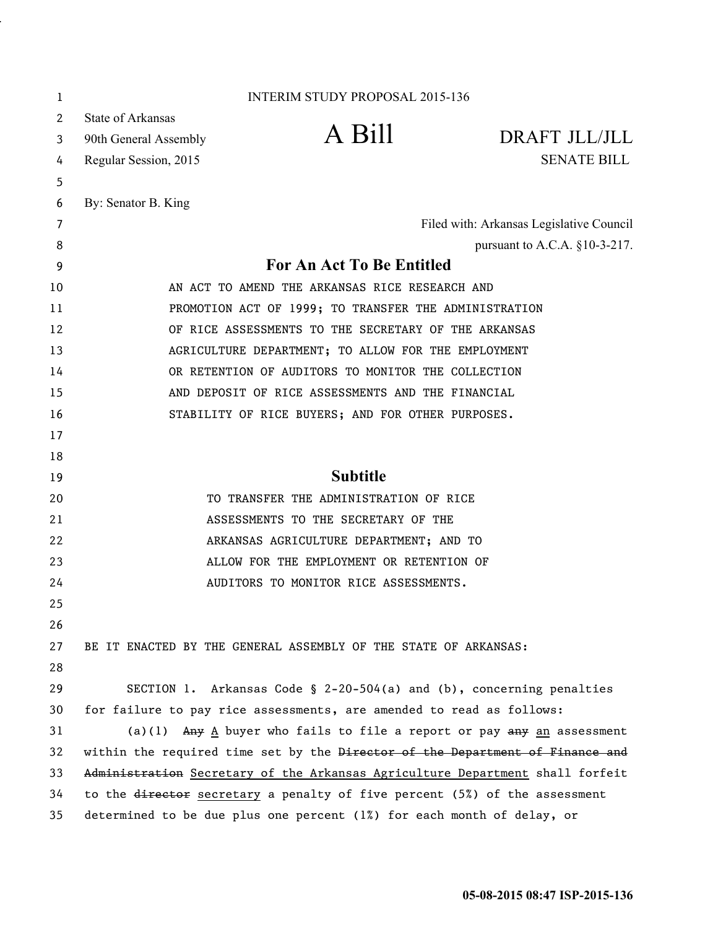| 1  |                                                                               | <b>INTERIM STUDY PROPOSAL 2015-136</b>                                     |                                          |
|----|-------------------------------------------------------------------------------|----------------------------------------------------------------------------|------------------------------------------|
| 2  | <b>State of Arkansas</b>                                                      |                                                                            |                                          |
| 3  | 90th General Assembly                                                         | A Bill                                                                     | DRAFT JLL/JLL                            |
| 4  | Regular Session, 2015                                                         |                                                                            | <b>SENATE BILL</b>                       |
| 5  |                                                                               |                                                                            |                                          |
| 6  | By: Senator B. King                                                           |                                                                            |                                          |
| 7  |                                                                               |                                                                            | Filed with: Arkansas Legislative Council |
| 8  |                                                                               |                                                                            | pursuant to A.C.A. §10-3-217.            |
| 9  | <b>For An Act To Be Entitled</b>                                              |                                                                            |                                          |
| 10 | AN ACT TO AMEND THE ARKANSAS RICE RESEARCH AND                                |                                                                            |                                          |
| 11 | PROMOTION ACT OF 1999; TO TRANSFER THE ADMINISTRATION                         |                                                                            |                                          |
| 12 | OF RICE ASSESSMENTS TO THE SECRETARY OF THE ARKANSAS                          |                                                                            |                                          |
| 13 | AGRICULTURE DEPARTMENT; TO ALLOW FOR THE EMPLOYMENT                           |                                                                            |                                          |
| 14 | OR RETENTION OF AUDITORS TO MONITOR THE COLLECTION                            |                                                                            |                                          |
| 15 | AND DEPOSIT OF RICE ASSESSMENTS AND THE FINANCIAL                             |                                                                            |                                          |
| 16 |                                                                               | STABILITY OF RICE BUYERS; AND FOR OTHER PURPOSES.                          |                                          |
| 17 |                                                                               |                                                                            |                                          |
| 18 |                                                                               |                                                                            |                                          |
| 19 |                                                                               | <b>Subtitle</b>                                                            |                                          |
| 20 |                                                                               | TO TRANSFER THE ADMINISTRATION OF RICE                                     |                                          |
| 21 | ASSESSMENTS TO THE SECRETARY OF THE                                           |                                                                            |                                          |
| 22 | ARKANSAS AGRICULTURE DEPARTMENT; AND TO                                       |                                                                            |                                          |
| 23 |                                                                               | ALLOW FOR THE EMPLOYMENT OR RETENTION OF                                   |                                          |
| 24 |                                                                               | AUDITORS TO MONITOR RICE ASSESSMENTS.                                      |                                          |
| 25 |                                                                               |                                                                            |                                          |
| 26 |                                                                               |                                                                            |                                          |
| 27 | BE IT ENACTED BY THE GENERAL ASSEMBLY OF THE STATE OF ARKANSAS:               |                                                                            |                                          |
| 28 |                                                                               |                                                                            |                                          |
| 29 |                                                                               | SECTION 1. Arkansas Code § $2-20-504(a)$ and (b), concerning penalties     |                                          |
| 30 | for failure to pay rice assessments, are amended to read as follows:          |                                                                            |                                          |
| 31 |                                                                               | (a)(1) $Any$ A buyer who fails to file a report or pay $any$ an assessment |                                          |
| 32 | within the required time set by the Director of the Department of Finance and |                                                                            |                                          |
| 33 | Administration Secretary of the Arkansas Agriculture Department shall forfeit |                                                                            |                                          |
| 34 | to the director secretary a penalty of five percent (5%) of the assessment    |                                                                            |                                          |
| 35 | determined to be due plus one percent (1%) for each month of delay, or        |                                                                            |                                          |

.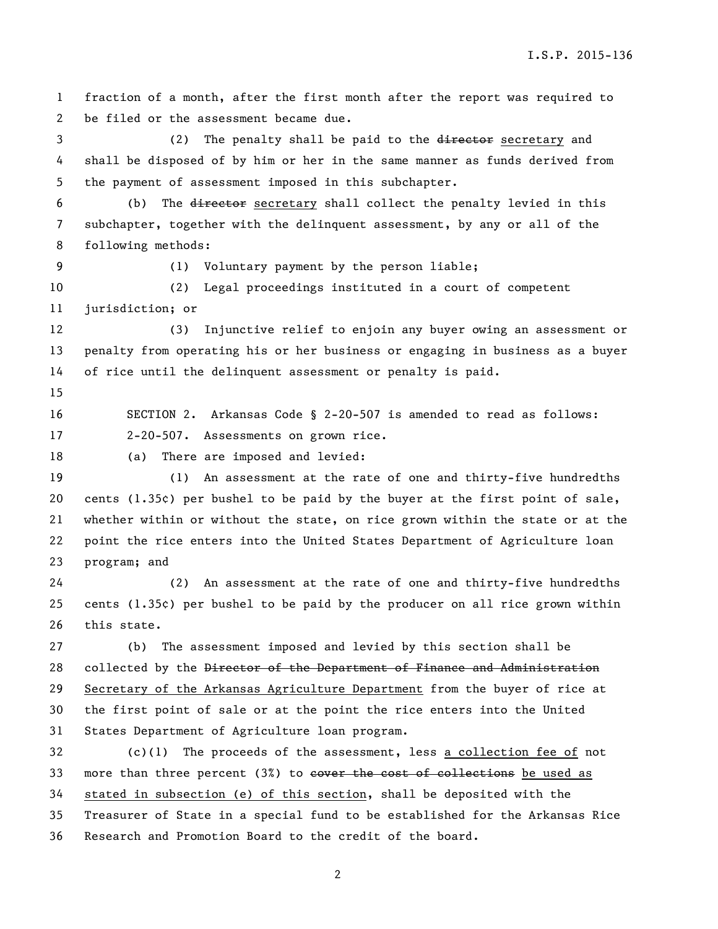I.S.P. 2015-136

 fraction of a month, after the first month after the report was required to be filed or the assessment became due. 3 (2) The penalty shall be paid to the director secretary and shall be disposed of by him or her in the same manner as funds derived from the payment of assessment imposed in this subchapter. (b) The director secretary shall collect the penalty levied in this subchapter, together with the delinquent assessment, by any or all of the following methods: (1) Voluntary payment by the person liable; (2) Legal proceedings instituted in a court of competent jurisdiction; or (3) Injunctive relief to enjoin any buyer owing an assessment or penalty from operating his or her business or engaging in business as a buyer of rice until the delinquent assessment or penalty is paid. SECTION 2. Arkansas Code § 2-20-507 is amended to read as follows: 2-20-507. Assessments on grown rice. (a) There are imposed and levied: (1) An assessment at the rate of one and thirty-five hundredths 20 cents  $(1.35¢)$  per bushel to be paid by the buyer at the first point of sale, whether within or without the state, on rice grown within the state or at the point the rice enters into the United States Department of Agriculture loan program; and (2) An assessment at the rate of one and thirty-five hundredths cents (1.35¢) per bushel to be paid by the producer on all rice grown within this state. (b) The assessment imposed and levied by this section shall be 28 collected by the Director of the Department of Finance and Administration Secretary of the Arkansas Agriculture Department from the buyer of rice at the first point of sale or at the point the rice enters into the United States Department of Agriculture loan program. (c)(1) The proceeds of the assessment, less a collection fee of not 33 more than three percent (3%) to eover the cost of collections be used as stated in subsection (e) of this section, shall be deposited with the Treasurer of State in a special fund to be established for the Arkansas Rice Research and Promotion Board to the credit of the board.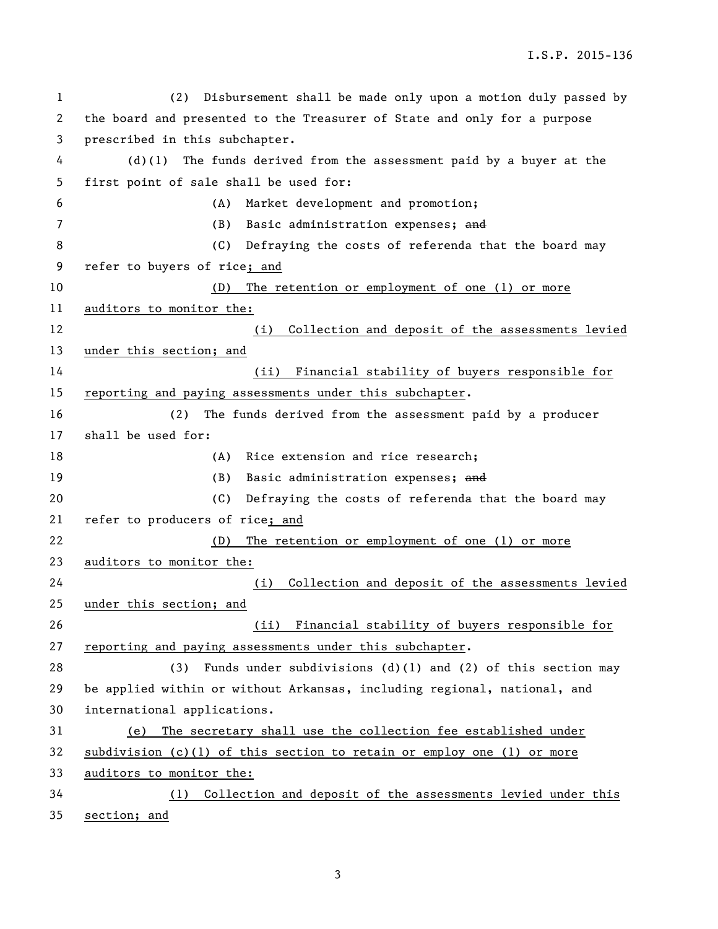I.S.P. 2015-136

 (2) Disbursement shall be made only upon a motion duly passed by the board and presented to the Treasurer of State and only for a purpose prescribed in this subchapter. (d)(1) The funds derived from the assessment paid by a buyer at the first point of sale shall be used for: (A) Market development and promotion; (B) Basic administration expenses; and 8 (C) Defraying the costs of referenda that the board may refer to buyers of rice; and (D) The retention or employment of one (1) or more auditors to monitor the: (i) Collection and deposit of the assessments levied under this section; and (ii) Financial stability of buyers responsible for reporting and paying assessments under this subchapter. (2) The funds derived from the assessment paid by a producer shall be used for: 18 (A) Rice extension and rice research; 19 (B) Basic administration expenses; and (C) Defraying the costs of referenda that the board may refer to producers of rice; and (D) The retention or employment of one (1) or more auditors to monitor the: (i) Collection and deposit of the assessments levied under this section; and (ii) Financial stability of buyers responsible for reporting and paying assessments under this subchapter. (3) Funds under subdivisions (d)(1) and (2) of this section may be applied within or without Arkansas, including regional, national, and international applications. (e) The secretary shall use the collection fee established under subdivision (c)(1) of this section to retain or employ one (1) or more auditors to monitor the: (1) Collection and deposit of the assessments levied under this section; and